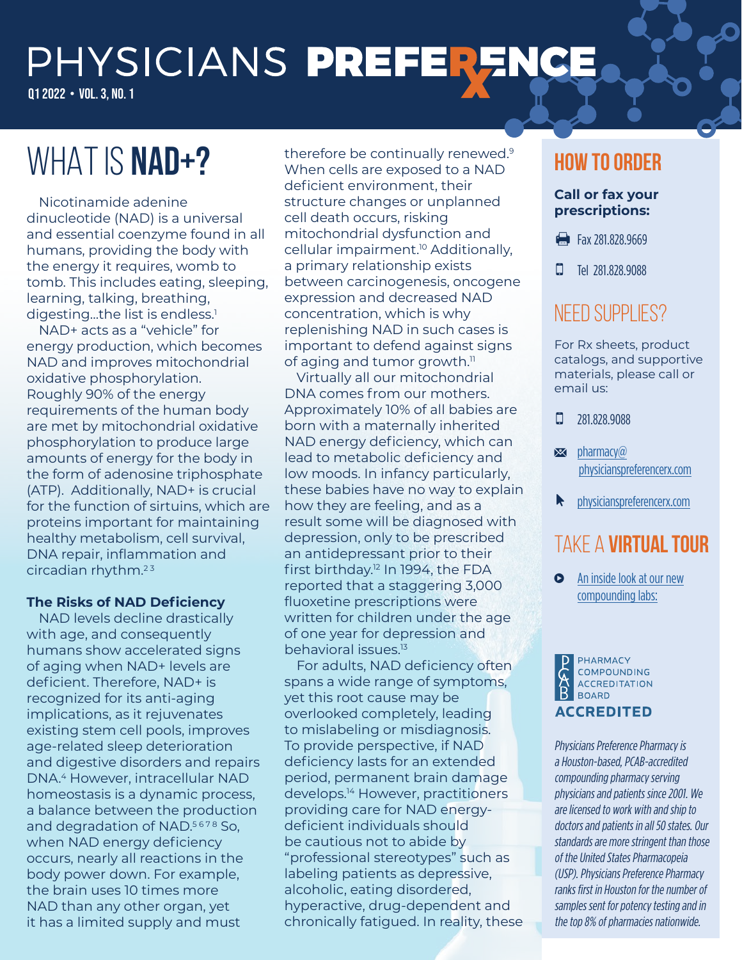# PHYSICIANS PREFERENCE

Q1 2022 • VOL. 3, NO. 1

## WHAT IS NAD+?

Nicotinamide adenine dinucleotide (NAD) is a universal and essential coenzyme found in all humans, providing the body with the energy it requires, womb to tomb. This includes eating, sleeping, learning, talking, breathing, digesting...the list is endless.<sup>1</sup>

NAD+ acts as a "vehicle" for energy production, which becomes NAD and improves mitochondrial oxidative phosphorylation. Roughly 90% of the energy requirements of the human body are met by mitochondrial oxidative phosphorylation to produce large amounts of energy for the body in the form of adenosine triphosphate (ATP). Additionally, NAD+ is crucial for the function of sirtuins, which are proteins important for maintaining healthy metabolism, cell survival, DNA repair, inflammation and circadian rhythm. $23$ 

#### **The Risks of NAD Deficiency**

NAD levels decline drastically with age, and consequently humans show accelerated signs of aging when NAD+ levels are deficient. Therefore, NAD+ is recognized for its anti-aging implications, as it rejuvenates existing stem cell pools, improves age-related sleep deterioration and digestive disorders and repairs DNA.4 However, intracellular NAD homeostasis is a dynamic process, a balance between the production and degradation of NAD.<sup>5678</sup> So, when NAD energy deficiency occurs, nearly all reactions in the body power down. For example, the brain uses 10 times more NAD than any other organ, yet it has a limited supply and must

therefore be continually renewed.<sup>9</sup> When cells are exposed to a NAD deficient environment, their structure changes or unplanned cell death occurs, risking mitochondrial dysfunction and cellular impairment.<sup>10</sup> Additionally, a primary relationship exists between carcinogenesis, oncogene expression and decreased NAD concentration, which is why replenishing NAD in such cases is important to defend against signs of aging and tumor growth.<sup>11</sup>

Virtually all our mitochondrial DNA comes from our mothers. Approximately 10% of all babies are born with a maternally inherited NAD energy deficiency, which can lead to metabolic deficiency and low moods. In infancy particularly, these babies have no way to explain how they are feeling, and as a result some will be diagnosed with depression, only to be prescribed an antidepressant prior to their first birthday.12 In 1994, the FDA reported that a staggering 3,000 fluoxetine prescriptions were written for children under the age of one year for depression and behavioral issues.13

For adults, NAD deficiency often spans a wide range of symptoms, yet this root cause may be overlooked completely, leading to mislabeling or misdiagnosis. To provide perspective, if NAD deficiency lasts for an extended period, permanent brain damage develops.14 However, practitioners providing care for NAD energydeficient individuals should be cautious not to abide by "professional stereotypes" such as labeling patients as depressive, alcoholic, eating disordered, hyperactive, drug-dependent and chronically fatigued. In reality, these

## **How to Order**

#### **Call or fax your prescriptions:**

- Fax 281,828,9669
- **D** Tel 281,828,9088

## NEED SUPPLIES?

For Rx sheets, product catalogs, and supportive materials, please call or email us:

 $\Box$  281.828.9088

- $\blacktriangleright$  pharmacy $\omega$ [physicianspreferencerx.com](mailto:pharmacy@physicianspreferencerx.com)
- **N** [physicianspreferencerx.com](https://physicianspreferencerx.com/)

## Take a **virtual tour**

**O** [An inside look at our new](https://www.youtube.com/watch?v=c1TMFQ_Y6Q4) [compounding labs:](https://www.youtube.com/watch?v=c1TMFQ_Y6Q4)



Physicians Preference Pharmacy is a Houston-based, PCAB-accredited compounding pharmacy serving physicians and patients since 2001. We are licensed to work with and ship to doctors and patients in all 50 states. Our standards are more stringent than those of the United States Pharmacopeia (USP). Physicians Preference Pharmacy ranks first in Houston for the number of samples sent for potency testing and in the top 8% of pharmacies nationwide.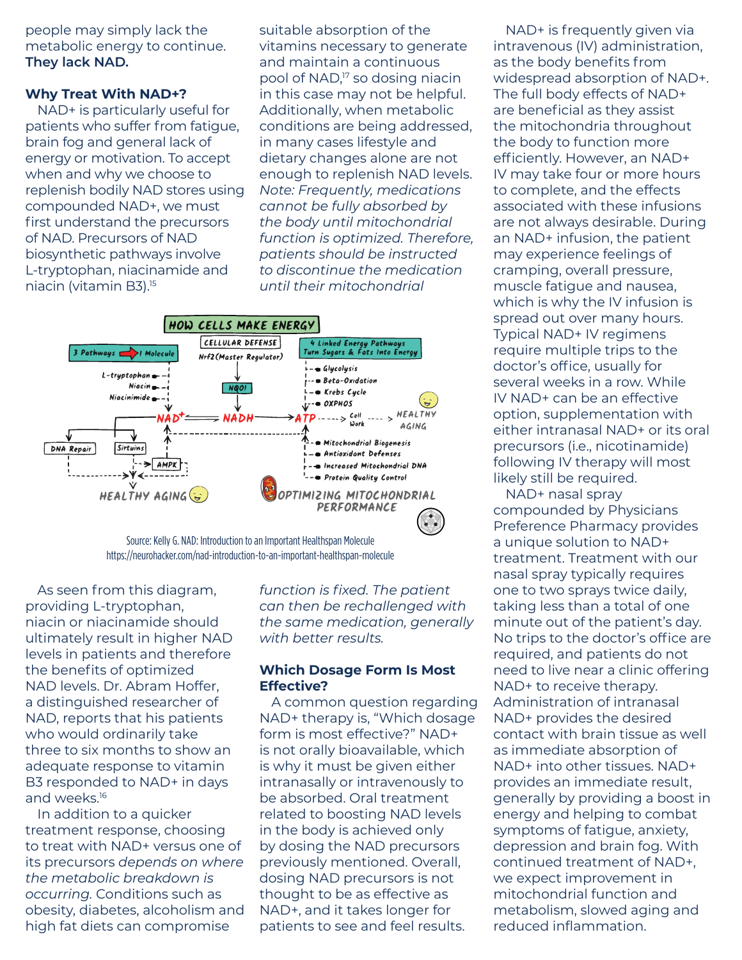people may simply lack the metabolic energy to continue. **They lack NAD.**

#### **Why Treat With NAD+?**

NAD+ is particularly useful for patients who suffer from fatigue, brain fog and general lack of energy or motivation. To accept when and why we choose to replenish bodily NAD stores using compounded NAD+, we must first understand the precursors of NAD. Precursors of NAD biosynthetic pathways involve L-tryptophan, niacinamide and niacin (vitamin B3).15

suitable absorption of the vitamins necessary to generate and maintain a continuous pool of NAD,17 so dosing niacin in this case may not be helpful. Additionally, when metabolic conditions are being addressed, in many cases lifestyle and dietary changes alone are not enough to replenish NAD levels. *Note: Frequently, medications cannot be fully absorbed by the body until mitochondrial function is optimized. Therefore, patients should be instructed to discontinue the medication until their mitochondrial* 



Source: Kelly G. NAD: Introduction to an Important Healthspan Molecule https://neurohacker.com/nad-introduction-to-an-important-healthspan-molecule

As seen from this diagram, providing L-tryptophan, niacin or niacinamide should ultimately result in higher NAD levels in patients and therefore the benefits of optimized NAD levels. Dr. Abram Hoffer, a distinguished researcher of NAD, reports that his patients who would ordinarily take three to six months to show an adequate response to vitamin B3 responded to NAD+ in days and weeks.16

In addition to a quicker treatment response, choosing to treat with NAD+ versus one of its precursors *depends on where the metabolic breakdown is occurring.* Conditions such as obesity, diabetes, alcoholism and high fat diets can compromise

*function is fixed. The patient can then be rechallenged with the same medication, generally with better results.*

#### **Which Dosage Form Is Most Effective?**

A common question regarding NAD+ therapy is, "Which dosage form is most effective?" NAD+ is not orally bioavailable, which is why it must be given either intranasally or intravenously to be absorbed. Oral treatment related to boosting NAD levels in the body is achieved only by dosing the NAD precursors previously mentioned. Overall, dosing NAD precursors is not thought to be as effective as NAD+, and it takes longer for patients to see and feel results.

NAD+ is frequently given via intravenous (IV) administration, as the body benefits from widespread absorption of NAD+. The full body effects of NAD+ are beneficial as they assist the mitochondria throughout the body to function more efficiently. However, an NAD+ IV may take four or more hours to complete, and the effects associated with these infusions are not always desirable. During an NAD+ infusion, the patient may experience feelings of cramping, overall pressure, muscle fatigue and nausea, which is why the IV infusion is spread out over many hours. Typical NAD+ IV regimens require multiple trips to the doctor's office, usually for several weeks in a row. While IV NAD+ can be an effective option, supplementation with either intranasal NAD+ or its oral precursors (i.e., nicotinamide) following IV therapy will most likely still be required.

NAD+ nasal spray compounded by Physicians Preference Pharmacy provides a unique solution to NAD+ treatment. Treatment with our nasal spray typically requires one to two sprays twice daily, taking less than a total of one minute out of the patient's day. No trips to the doctor's office are required, and patients do not need to live near a clinic offering NAD+ to receive therapy. Administration of intranasal NAD+ provides the desired contact with brain tissue as well as immediate absorption of NAD+ into other tissues. NAD+ provides an immediate result, generally by providing a boost in energy and helping to combat symptoms of fatigue, anxiety, depression and brain fog. With continued treatment of NAD+, we expect improvement in mitochondrial function and metabolism, slowed aging and reduced inflammation.